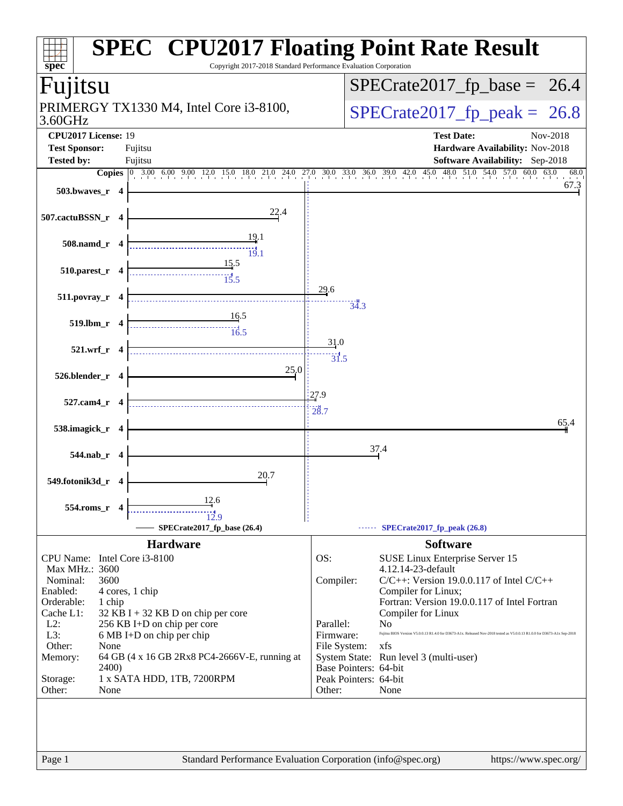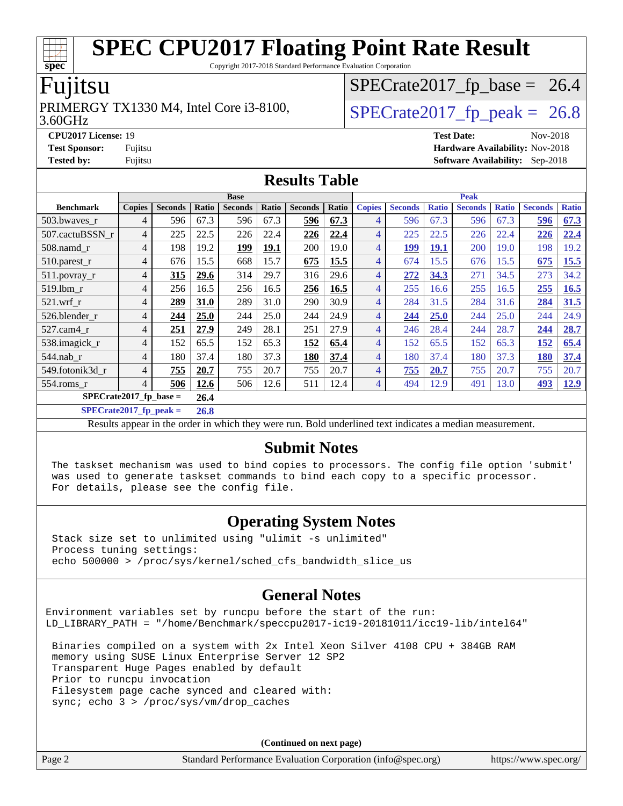Copyright 2017-2018 Standard Performance Evaluation Corporation

### Fujitsu

#### 3.60GHz PRIMERGY TX1330 M4, Intel Core i3-8100,  $\vert$  [SPECrate2017\\_fp\\_peak =](http://www.spec.org/auto/cpu2017/Docs/result-fields.html#SPECrate2017fppeak) 26.8

 $SPECTate2017_fp\_base = 26.4$ 

**[CPU2017 License:](http://www.spec.org/auto/cpu2017/Docs/result-fields.html#CPU2017License)** 19 **[Test Date:](http://www.spec.org/auto/cpu2017/Docs/result-fields.html#TestDate)** Nov-2018 **[Test Sponsor:](http://www.spec.org/auto/cpu2017/Docs/result-fields.html#TestSponsor)** Fujitsu **[Hardware Availability:](http://www.spec.org/auto/cpu2017/Docs/result-fields.html#HardwareAvailability)** Nov-2018 **[Tested by:](http://www.spec.org/auto/cpu2017/Docs/result-fields.html#Testedby)** Fujitsu **[Software Availability:](http://www.spec.org/auto/cpu2017/Docs/result-fields.html#SoftwareAvailability)** Sep-2018

#### **[Results Table](http://www.spec.org/auto/cpu2017/Docs/result-fields.html#ResultsTable)**

|                          | <b>Base</b>   |                |       |                |       | <b>Peak</b>    |       |                |                |              |                |              |                |              |
|--------------------------|---------------|----------------|-------|----------------|-------|----------------|-------|----------------|----------------|--------------|----------------|--------------|----------------|--------------|
| <b>Benchmark</b>         | <b>Copies</b> | <b>Seconds</b> | Ratio | <b>Seconds</b> | Ratio | <b>Seconds</b> | Ratio | <b>Copies</b>  | <b>Seconds</b> | <b>Ratio</b> | <b>Seconds</b> | <b>Ratio</b> | <b>Seconds</b> | <b>Ratio</b> |
| 503.bwaves_r             | 4             | 596            | 67.3  | 596            | 67.3  | 596            | 67.3  | $\overline{4}$ | 596            | 67.3         | 596            | 67.3         | 596            | 67.3         |
| 507.cactuBSSN r          | 4             | 225            | 22.5  | 226            | 22.4  | 226            | 22.4  | $\overline{4}$ | 225            | 22.5         | 226            | 22.4         | 226            | 22.4         |
| 508.namd r               | 4             | 198            | 19.2  | 199            | 19.1  | 200            | 19.0  | 4              | 199            | 19.1         | 200            | 19.0         | 198            | 19.2         |
| 510.parest_r             | 4             | 676            | 15.5  | 668            | 15.7  | 675            | 15.5  | 4              | 674            | 15.5         | 676            | 15.5         | 675            | 15.5         |
| 511.povray_r             | 4             | 315            | 29.6  | 314            | 29.7  | 316            | 29.6  | 4              | 272            | 34.3         | 271            | 34.5         | 273            | 34.2         |
| 519.1bm r                | 4             | 256            | 16.5  | 256            | 16.5  | 256            | 16.5  | 4              | 255            | 16.6         | 255            | 16.5         | 255            | 16.5         |
| $521$ .wrf r             | 4             | 289            | 31.0  | 289            | 31.0  | 290            | 30.9  | 4              | 284            | 31.5         | 284            | 31.6         | 284            | 31.5         |
| 526.blender r            | 4             | 244            | 25.0  | 244            | 25.0  | 244            | 24.9  | 4              | 244            | 25.0         | 244            | 25.0         | 244            | 24.9         |
| $527.cam4_r$             | 4             | 251            | 27.9  | 249            | 28.1  | 251            | 27.9  | 4              | 246            | 28.4         | 244            | 28.7         | 244            | 28.7         |
| 538.imagick_r            | 4             | 152            | 65.5  | 152            | 65.3  | 152            | 65.4  | 4              | 152            | 65.5         | 152            | 65.3         | 152            | 65.4         |
| $544$ .nab_r             | 4             | 180            | 37.4  | 180            | 37.3  | 180            | 37.4  | 4              | 180            | 37.4         | 180            | 37.3         | <b>180</b>     | 37.4         |
| 549.fotonik3d_r          | 4             | 755            | 20.7  | 755            | 20.7  | 755            | 20.7  | 4              | 755            | 20.7         | 755            | 20.7         | 755            | 20.7         |
| $554$ .roms $r$          | 4             | 506            | 12.6  | 506            | 12.6  | 511            | 12.4  | $\overline{4}$ | 494            | 12.9         | 491            | 13.0         | 493            | 12.9         |
| $SPECrate2017$ fp base = |               |                | 26.4  |                |       |                |       |                |                |              |                |              |                |              |

**[SPECrate2017\\_fp\\_peak =](http://www.spec.org/auto/cpu2017/Docs/result-fields.html#SPECrate2017fppeak) 26.8**

Results appear in the [order in which they were run](http://www.spec.org/auto/cpu2017/Docs/result-fields.html#RunOrder). Bold underlined text [indicates a median measurement](http://www.spec.org/auto/cpu2017/Docs/result-fields.html#Median).

#### **[Submit Notes](http://www.spec.org/auto/cpu2017/Docs/result-fields.html#SubmitNotes)**

 The taskset mechanism was used to bind copies to processors. The config file option 'submit' was used to generate taskset commands to bind each copy to a specific processor. For details, please see the config file.

#### **[Operating System Notes](http://www.spec.org/auto/cpu2017/Docs/result-fields.html#OperatingSystemNotes)**

 Stack size set to unlimited using "ulimit -s unlimited" Process tuning settings: echo 500000 > /proc/sys/kernel/sched\_cfs\_bandwidth\_slice\_us

### **[General Notes](http://www.spec.org/auto/cpu2017/Docs/result-fields.html#GeneralNotes)**

Environment variables set by runcpu before the start of the run: LD\_LIBRARY\_PATH = "/home/Benchmark/speccpu2017-ic19-20181011/icc19-lib/intel64"

 Binaries compiled on a system with 2x Intel Xeon Silver 4108 CPU + 384GB RAM memory using SUSE Linux Enterprise Server 12 SP2 Transparent Huge Pages enabled by default Prior to runcpu invocation Filesystem page cache synced and cleared with: sync; echo 3 > /proc/sys/vm/drop\_caches

**(Continued on next page)**

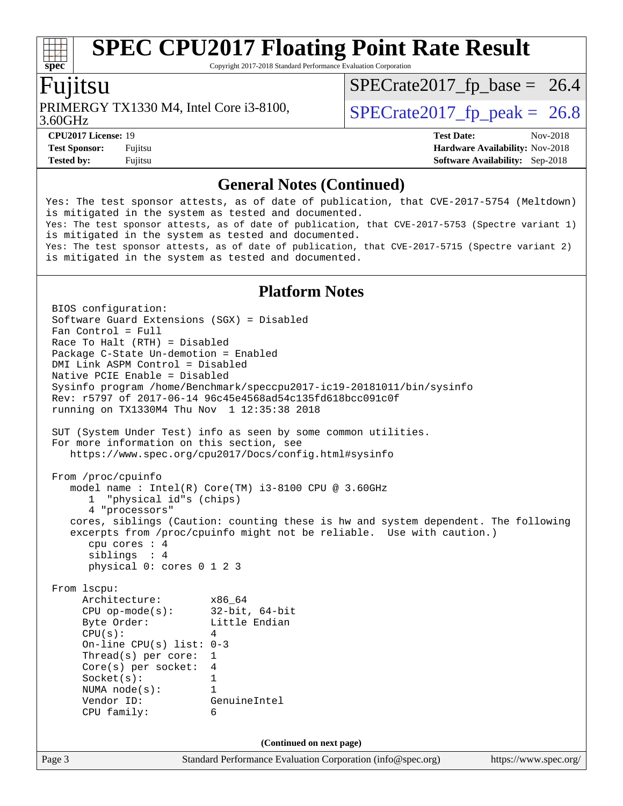Copyright 2017-2018 Standard Performance Evaluation Corporation

### Fujitsu

3.60GHz PRIMERGY TX1330 M4, Intel Core i3-8100,  $\vert$  [SPECrate2017\\_fp\\_peak =](http://www.spec.org/auto/cpu2017/Docs/result-fields.html#SPECrate2017fppeak) 26.8

 $SPECTate2017_fp\_base = 26.4$ 

**[CPU2017 License:](http://www.spec.org/auto/cpu2017/Docs/result-fields.html#CPU2017License)** 19 **[Test Date:](http://www.spec.org/auto/cpu2017/Docs/result-fields.html#TestDate)** Nov-2018 **[Test Sponsor:](http://www.spec.org/auto/cpu2017/Docs/result-fields.html#TestSponsor)** Fujitsu **Fundal** Fujitsu **[Hardware Availability:](http://www.spec.org/auto/cpu2017/Docs/result-fields.html#HardwareAvailability)** Nov-2018 **[Tested by:](http://www.spec.org/auto/cpu2017/Docs/result-fields.html#Testedby)** Fujitsu **[Software Availability:](http://www.spec.org/auto/cpu2017/Docs/result-fields.html#SoftwareAvailability)** Sep-2018

#### **[General Notes \(Continued\)](http://www.spec.org/auto/cpu2017/Docs/result-fields.html#GeneralNotes)**

Yes: The test sponsor attests, as of date of publication, that CVE-2017-5754 (Meltdown) is mitigated in the system as tested and documented. Yes: The test sponsor attests, as of date of publication, that CVE-2017-5753 (Spectre variant 1) is mitigated in the system as tested and documented. Yes: The test sponsor attests, as of date of publication, that CVE-2017-5715 (Spectre variant 2) is mitigated in the system as tested and documented.

#### **[Platform Notes](http://www.spec.org/auto/cpu2017/Docs/result-fields.html#PlatformNotes)**

Page 3 Standard Performance Evaluation Corporation [\(info@spec.org\)](mailto:info@spec.org) <https://www.spec.org/> BIOS configuration: Software Guard Extensions (SGX) = Disabled Fan Control = Full Race To Halt (RTH) = Disabled Package C-State Un-demotion = Enabled DMI Link ASPM Control = Disabled Native PCIE Enable = Disabled Sysinfo program /home/Benchmark/speccpu2017-ic19-20181011/bin/sysinfo Rev: r5797 of 2017-06-14 96c45e4568ad54c135fd618bcc091c0f running on TX1330M4 Thu Nov 1 12:35:38 2018 SUT (System Under Test) info as seen by some common utilities. For more information on this section, see <https://www.spec.org/cpu2017/Docs/config.html#sysinfo> From /proc/cpuinfo model name : Intel(R) Core(TM) i3-8100 CPU @ 3.60GHz 1 "physical id"s (chips) 4 "processors" cores, siblings (Caution: counting these is hw and system dependent. The following excerpts from /proc/cpuinfo might not be reliable. Use with caution.) cpu cores : 4 siblings : 4 physical 0: cores 0 1 2 3 From lscpu: Architecture: x86\_64 CPU op-mode(s): 32-bit, 64-bit Byte Order: Little Endian  $CPU(s):$  4 On-line CPU(s) list: 0-3 Thread(s) per core: 1 Core(s) per socket: 4 Socket(s): 1 NUMA node(s): 1 Vendor ID: GenuineIntel CPU family: 6 **(Continued on next page)**

**[spec](http://www.spec.org/)**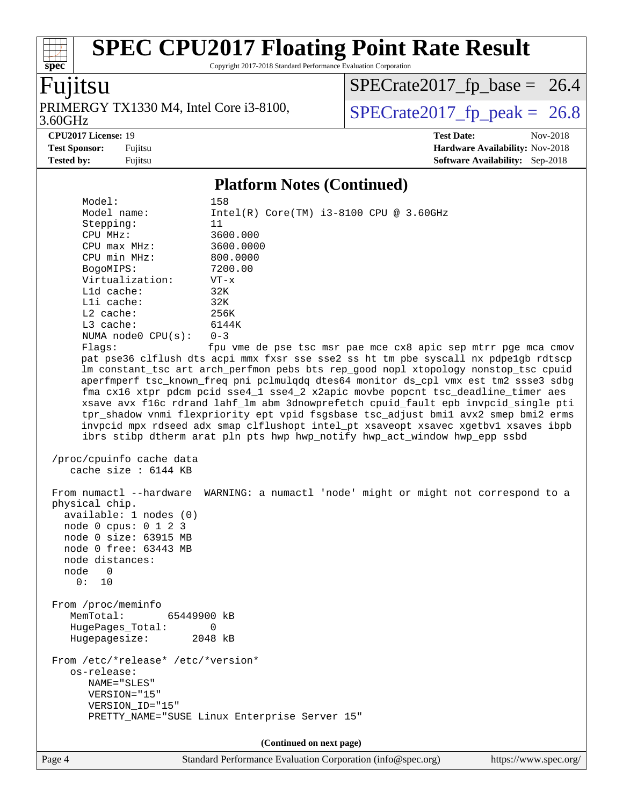Copyright 2017-2018 Standard Performance Evaluation Corporation

### Fujitsu

**[spec](http://www.spec.org/)**

3.60GHz PRIMERGY TX1330 M4, Intel Core i3-8100,  $\vert$  [SPECrate2017\\_fp\\_peak =](http://www.spec.org/auto/cpu2017/Docs/result-fields.html#SPECrate2017fppeak) 26.8

 $SPECTate2017_fp\_base = 26.4$ 

**[Tested by:](http://www.spec.org/auto/cpu2017/Docs/result-fields.html#Testedby)** Fujitsu **[Software Availability:](http://www.spec.org/auto/cpu2017/Docs/result-fields.html#SoftwareAvailability)** Sep-2018

**[CPU2017 License:](http://www.spec.org/auto/cpu2017/Docs/result-fields.html#CPU2017License)** 19 **[Test Date:](http://www.spec.org/auto/cpu2017/Docs/result-fields.html#TestDate)** Nov-2018 **[Test Sponsor:](http://www.spec.org/auto/cpu2017/Docs/result-fields.html#TestSponsor)** Fujitsu **Fundal** Fujitsu **[Hardware Availability:](http://www.spec.org/auto/cpu2017/Docs/result-fields.html#HardwareAvailability)** Nov-2018

#### **[Platform Notes \(Continued\)](http://www.spec.org/auto/cpu2017/Docs/result-fields.html#PlatformNotes)**

Model: 158<br>Model name: 11  $Intel(R) Core(TM) i3-8100 CPU @ 3.60GHz$  Stepping: 11 CPU MHz: 3600.000 CPU max MHz: 3600.0000 CPU min MHz: 800.0000 BogoMIPS: 7200.00 Virtualization: VT-x L1d cache: 32K L1i cache: 32K L2 cache: 256K L3 cache: 6144K NUMA node0 CPU(s): 0-3 Flags: fpu vme de pse tsc msr pae mce cx8 apic sep mtrr pge mca cmov pat pse36 clflush dts acpi mmx fxsr sse sse2 ss ht tm pbe syscall nx pdpe1gb rdtscp lm constant\_tsc art arch\_perfmon pebs bts rep\_good nopl xtopology nonstop\_tsc cpuid aperfmperf tsc\_known\_freq pni pclmulqdq dtes64 monitor ds\_cpl vmx est tm2 ssse3 sdbg fma cx16 xtpr pdcm pcid sse4\_1 sse4\_2 x2apic movbe popcnt tsc\_deadline\_timer aes xsave avx f16c rdrand lahf\_lm abm 3dnowprefetch cpuid\_fault epb invpcid\_single pti tpr\_shadow vnmi flexpriority ept vpid fsgsbase tsc\_adjust bmi1 avx2 smep bmi2 erms invpcid mpx rdseed adx smap clflushopt intel\_pt xsaveopt xsavec xgetbv1 xsaves ibpb ibrs stibp dtherm arat pln pts hwp hwp\_notify hwp\_act\_window hwp\_epp ssbd /proc/cpuinfo cache data cache size : 6144 KB From numactl --hardware WARNING: a numactl 'node' might or might not correspond to a physical chip. available: 1 nodes (0) node 0 cpus: 0 1 2 3 node 0 size: 63915 MB node 0 free: 63443 MB node distances: node 0 0: 10 From /proc/meminfo MemTotal: 65449900 kB HugePages\_Total: 0 Hugepagesize: 2048 kB From /etc/\*release\* /etc/\*version\* os-release: NAME="SLES" VERSION="15" VERSION\_ID="15" PRETTY\_NAME="SUSE Linux Enterprise Server 15" **(Continued on next page)**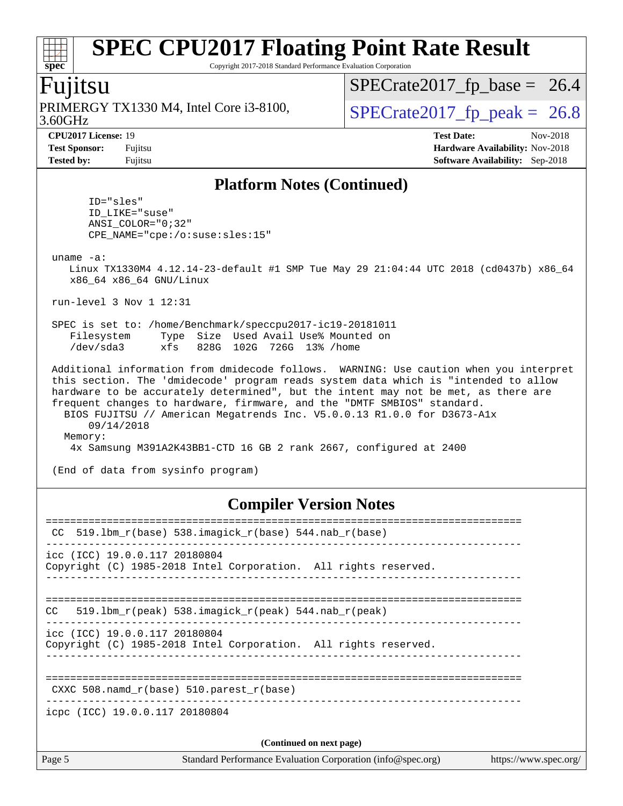Copyright 2017-2018 Standard Performance Evaluation Corporation

### Fujitsu

3.60GHz PRIMERGY TX1330 M4, Intel Core i3-8100,  $\vert$  [SPECrate2017\\_fp\\_peak =](http://www.spec.org/auto/cpu2017/Docs/result-fields.html#SPECrate2017fppeak) 26.8

 $SPECTate2017_fp\_base = 26.4$ 

**[CPU2017 License:](http://www.spec.org/auto/cpu2017/Docs/result-fields.html#CPU2017License)** 19 **[Test Date:](http://www.spec.org/auto/cpu2017/Docs/result-fields.html#TestDate)** Nov-2018

**[Test Sponsor:](http://www.spec.org/auto/cpu2017/Docs/result-fields.html#TestSponsor)** Fujitsu **[Hardware Availability:](http://www.spec.org/auto/cpu2017/Docs/result-fields.html#HardwareAvailability)** Nov-2018 **[Tested by:](http://www.spec.org/auto/cpu2017/Docs/result-fields.html#Testedby)** Fujitsu **[Software Availability:](http://www.spec.org/auto/cpu2017/Docs/result-fields.html#SoftwareAvailability)** Sep-2018

#### **[Platform Notes \(Continued\)](http://www.spec.org/auto/cpu2017/Docs/result-fields.html#PlatformNotes)**

 ID="sles" ID\_LIKE="suse" ANSI\_COLOR="0;32" CPE\_NAME="cpe:/o:suse:sles:15" uname -a: Linux TX1330M4 4.12.14-23-default #1 SMP Tue May 29 21:04:44 UTC 2018 (cd0437b) x86\_64 x86\_64 x86\_64 GNU/Linux run-level 3 Nov 1 12:31 SPEC is set to: /home/Benchmark/speccpu2017-ic19-20181011 Filesystem Type Size Used Avail Use% Mounted on /dev/sda3 xfs 828G 102G 726G 13% /home Additional information from dmidecode follows. WARNING: Use caution when you interpret this section. The 'dmidecode' program reads system data which is "intended to allow hardware to be accurately determined", but the intent may not be met, as there are frequent changes to hardware, firmware, and the "DMTF SMBIOS" standard. BIOS FUJITSU // American Megatrends Inc. V5.0.0.13 R1.0.0 for D3673-A1x 09/14/2018 Memory: 4x Samsung M391A2K43BB1-CTD 16 GB 2 rank 2667, configured at 2400

(End of data from sysinfo program)

#### **[Compiler Version Notes](http://www.spec.org/auto/cpu2017/Docs/result-fields.html#CompilerVersionNotes)**

| Page 5 | Standard Performance Evaluation Corporation (info@spec.org)                                      | https://www.spec.org/ |
|--------|--------------------------------------------------------------------------------------------------|-----------------------|
|        | (Continued on next page)                                                                         |                       |
|        | icpc (ICC) 19.0.0.117 20180804                                                                   |                       |
|        | CXXC 508. namd $r(base)$ 510. parest $r(base)$<br>____________________________________           |                       |
|        | icc (ICC) 19.0.0.117 20180804<br>Copyright (C) 1985-2018 Intel Corporation. All rights reserved. |                       |
| CC.    | $519.1$ bm_r(peak) 538.imagick_r(peak) 544.nab_r(peak)                                           |                       |
|        | icc (ICC) 19.0.0.117 20180804<br>Copyright (C) 1985-2018 Intel Corporation. All rights reserved. |                       |
| CC     | $519.1$ bm_r(base) 538.imagick_r(base) 544.nab_r(base)                                           |                       |
|        |                                                                                                  |                       |

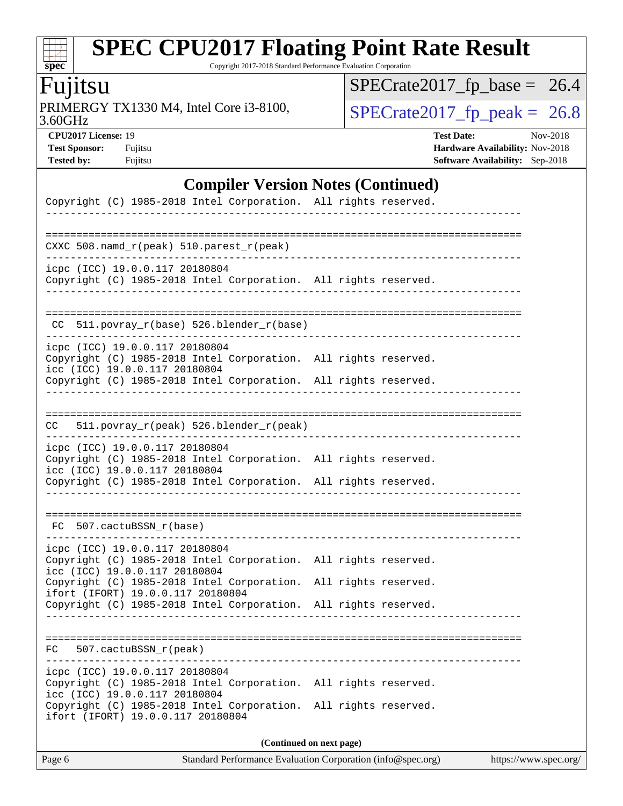### $\pm$ **[spec](http://www.spec.org/)**

# **[SPEC CPU2017 Floating Point Rate Result](http://www.spec.org/auto/cpu2017/Docs/result-fields.html#SPECCPU2017FloatingPointRateResult)**

Copyright 2017-2018 Standard Performance Evaluation Corporation

### Fujitsu

3.60GHz PRIMERGY TX1330 M4, Intel Core i3-8100,  $\boxed{\text{SPECrate2017\_fp\_peak = 26.8}}$ 

 $SPECrate2017_fp\_base = 26.4$ 

**[CPU2017 License:](http://www.spec.org/auto/cpu2017/Docs/result-fields.html#CPU2017License)** 19 **[Test Date:](http://www.spec.org/auto/cpu2017/Docs/result-fields.html#TestDate)** Nov-2018 **[Test Sponsor:](http://www.spec.org/auto/cpu2017/Docs/result-fields.html#TestSponsor)** Fujitsu **[Hardware Availability:](http://www.spec.org/auto/cpu2017/Docs/result-fields.html#HardwareAvailability)** Nov-2018 **[Tested by:](http://www.spec.org/auto/cpu2017/Docs/result-fields.html#Testedby)** Fujitsu **[Software Availability:](http://www.spec.org/auto/cpu2017/Docs/result-fields.html#SoftwareAvailability)** Sep-2018

#### **[Compiler Version Notes \(Continued\)](http://www.spec.org/auto/cpu2017/Docs/result-fields.html#CompilerVersionNotes)**

| Copyright (C) 1985-2018 Intel Corporation. All rights reserved.                                      |                      |  |  |  |  |  |
|------------------------------------------------------------------------------------------------------|----------------------|--|--|--|--|--|
|                                                                                                      |                      |  |  |  |  |  |
| ==============================<br>CXXC 508.namd_r(peak) 510.parest_r(peak)                           |                      |  |  |  |  |  |
| icpc (ICC) 19.0.0.117 20180804                                                                       |                      |  |  |  |  |  |
| Copyright (C) 1985-2018 Intel Corporation. All rights reserved.                                      |                      |  |  |  |  |  |
|                                                                                                      |                      |  |  |  |  |  |
| 511.povray_r(base) 526.blender_r(base)<br>CC.                                                        |                      |  |  |  |  |  |
| icpc (ICC) 19.0.0.117 20180804                                                                       |                      |  |  |  |  |  |
| Copyright (C) 1985-2018 Intel Corporation.<br>icc (ICC) 19.0.0.117 20180804                          | All rights reserved. |  |  |  |  |  |
| Copyright (C) 1985-2018 Intel Corporation. All rights reserved.                                      |                      |  |  |  |  |  |
|                                                                                                      |                      |  |  |  |  |  |
| 511.povray_r(peak) 526.blender_r(peak)<br>CC.                                                        |                      |  |  |  |  |  |
| icpc (ICC) 19.0.0.117 20180804<br>Copyright (C) 1985-2018 Intel Corporation. All rights reserved.    |                      |  |  |  |  |  |
| icc (ICC) 19.0.0.117 20180804                                                                        |                      |  |  |  |  |  |
| Copyright (C) 1985-2018 Intel Corporation. All rights reserved.                                      |                      |  |  |  |  |  |
|                                                                                                      |                      |  |  |  |  |  |
| FC 507.cactuBSSN_r(base)                                                                             |                      |  |  |  |  |  |
| icpc (ICC) 19.0.0.117 20180804                                                                       |                      |  |  |  |  |  |
| Copyright (C) 1985-2018 Intel Corporation.<br>icc (ICC) 19.0.0.117 20180804                          | All rights reserved. |  |  |  |  |  |
| Copyright (C) 1985-2018 Intel Corporation.<br>ifort (IFORT) 19.0.0.117 20180804                      | All rights reserved. |  |  |  |  |  |
| Copyright (C) 1985-2018 Intel Corporation.                                                           | All rights reserved. |  |  |  |  |  |
|                                                                                                      |                      |  |  |  |  |  |
| FC 507.cactuBSSN_r(peak)                                                                             |                      |  |  |  |  |  |
| icpc (ICC) 19.0.0.117 20180804                                                                       |                      |  |  |  |  |  |
| Copyright (C) 1985-2018 Intel Corporation. All rights reserved.<br>icc (ICC) 19.0.0.117 20180804     |                      |  |  |  |  |  |
| Copyright (C) 1985-2018 Intel Corporation. All rights reserved.<br>ifort (IFORT) 19.0.0.117 20180804 |                      |  |  |  |  |  |
| (Continued on next page)                                                                             |                      |  |  |  |  |  |

Page 6 Standard Performance Evaluation Corporation [\(info@spec.org\)](mailto:info@spec.org) <https://www.spec.org/>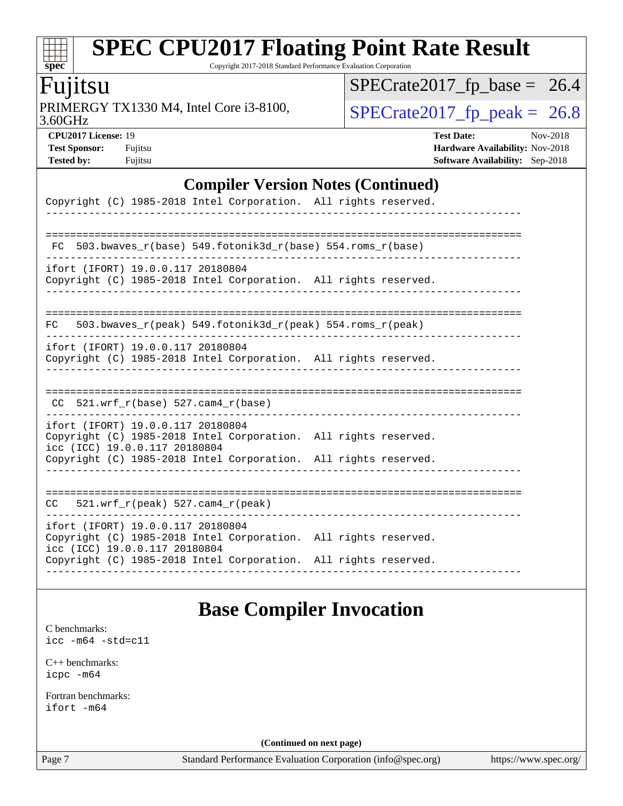### dd h **[spec](http://www.spec.org/)**

# **[SPEC CPU2017 Floating Point Rate Result](http://www.spec.org/auto/cpu2017/Docs/result-fields.html#SPECCPU2017FloatingPointRateResult)**

Copyright 2017-2018 Standard Performance Evaluation Corporation

### Fujitsu

3.60GHz PRIMERGY TX1330 M4, Intel Core i3-8100,  $\boxed{\text{SPECrate2017\_fp\_peak = 26.8}}$ 

 $SPECrate2017_fp\_base = 26.4$ 

**[CPU2017 License:](http://www.spec.org/auto/cpu2017/Docs/result-fields.html#CPU2017License)** 19 **[Test Date:](http://www.spec.org/auto/cpu2017/Docs/result-fields.html#TestDate)** Nov-2018 **[Test Sponsor:](http://www.spec.org/auto/cpu2017/Docs/result-fields.html#TestSponsor)** Fujitsu **Fundal** Fujitsu **[Hardware Availability:](http://www.spec.org/auto/cpu2017/Docs/result-fields.html#HardwareAvailability)** Nov-2018 **[Tested by:](http://www.spec.org/auto/cpu2017/Docs/result-fields.html#Testedby)** Fujitsu **[Software Availability:](http://www.spec.org/auto/cpu2017/Docs/result-fields.html#SoftwareAvailability)** Sep-2018

### **[Compiler Version Notes \(Continued\)](http://www.spec.org/auto/cpu2017/Docs/result-fields.html#CompilerVersionNotes)**

| Copyright (C) 1985-2018 Intel Corporation. All rights reserved.                                                                                                                                          |  |
|----------------------------------------------------------------------------------------------------------------------------------------------------------------------------------------------------------|--|
| 503.bwaves $r(base)$ 549.fotonik3d $r(base)$ 554.roms $r(base)$<br>FC                                                                                                                                    |  |
| ifort (IFORT) 19.0.0.117 20180804<br>Copyright (C) 1985-2018 Intel Corporation. All rights reserved.                                                                                                     |  |
| 503.bwaves_r(peak) 549.fotonik3d_r(peak) 554.roms_r(peak)<br>FC.                                                                                                                                         |  |
| ifort (IFORT) 19.0.0.117 20180804<br>Copyright (C) 1985-2018 Intel Corporation. All rights reserved.                                                                                                     |  |
| $CC$ 521.wrf_r(base) 527.cam4_r(base)                                                                                                                                                                    |  |
| ifort (IFORT) 19.0.0.117 20180804<br>Copyright (C) 1985-2018 Intel Corporation. All rights reserved.<br>icc (ICC) 19.0.0.117 20180804<br>Copyright (C) 1985-2018 Intel Corporation. All rights reserved. |  |
| $CC = 521.wrf_r(peak) 527.cam4_r(peak)$                                                                                                                                                                  |  |
| ifort (IFORT) 19.0.0.117 20180804<br>Copyright (C) 1985-2018 Intel Corporation. All rights reserved.<br>icc (ICC) 19.0.0.117 20180804<br>Copyright (C) 1985-2018 Intel Corporation. All rights reserved. |  |

### **[Base Compiler Invocation](http://www.spec.org/auto/cpu2017/Docs/result-fields.html#BaseCompilerInvocation)**

[C benchmarks](http://www.spec.org/auto/cpu2017/Docs/result-fields.html#Cbenchmarks):

[icc -m64 -std=c11](http://www.spec.org/cpu2017/results/res2018q4/cpu2017-20181113-09789.flags.html#user_CCbase_intel_icc_64bit_c11_33ee0cdaae7deeeab2a9725423ba97205ce30f63b9926c2519791662299b76a0318f32ddfffdc46587804de3178b4f9328c46fa7c2b0cd779d7a61945c91cd35)

[C++ benchmarks:](http://www.spec.org/auto/cpu2017/Docs/result-fields.html#CXXbenchmarks) [icpc -m64](http://www.spec.org/cpu2017/results/res2018q4/cpu2017-20181113-09789.flags.html#user_CXXbase_intel_icpc_64bit_4ecb2543ae3f1412ef961e0650ca070fec7b7afdcd6ed48761b84423119d1bf6bdf5cad15b44d48e7256388bc77273b966e5eb805aefd121eb22e9299b2ec9d9)

[Fortran benchmarks](http://www.spec.org/auto/cpu2017/Docs/result-fields.html#Fortranbenchmarks): [ifort -m64](http://www.spec.org/cpu2017/results/res2018q4/cpu2017-20181113-09789.flags.html#user_FCbase_intel_ifort_64bit_24f2bb282fbaeffd6157abe4f878425411749daecae9a33200eee2bee2fe76f3b89351d69a8130dd5949958ce389cf37ff59a95e7a40d588e8d3a57e0c3fd751)

**(Continued on next page)**

Page 7 Standard Performance Evaluation Corporation [\(info@spec.org\)](mailto:info@spec.org) <https://www.spec.org/>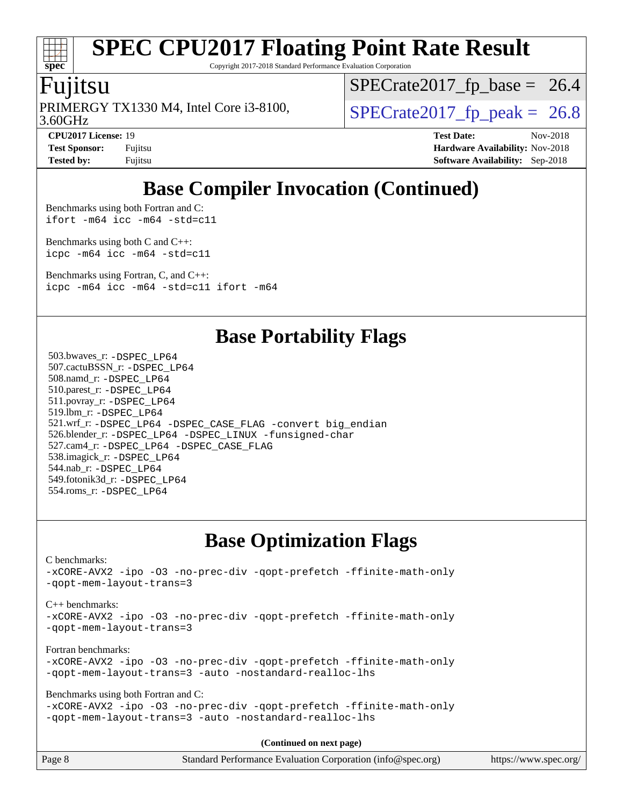

Copyright 2017-2018 Standard Performance Evaluation Corporation

### Fujitsu

3.60GHz PRIMERGY TX1330 M4, Intel Core i3-8100,  $\vert$  [SPECrate2017\\_fp\\_peak =](http://www.spec.org/auto/cpu2017/Docs/result-fields.html#SPECrate2017fppeak) 26.8

 $SPECTate2017_fp\_base = 26.4$ 

**[CPU2017 License:](http://www.spec.org/auto/cpu2017/Docs/result-fields.html#CPU2017License)** 19 **[Test Date:](http://www.spec.org/auto/cpu2017/Docs/result-fields.html#TestDate)** Nov-2018 **[Test Sponsor:](http://www.spec.org/auto/cpu2017/Docs/result-fields.html#TestSponsor)** Fujitsu **Fundal** Fujitsu **[Hardware Availability:](http://www.spec.org/auto/cpu2017/Docs/result-fields.html#HardwareAvailability)** Nov-2018 **[Tested by:](http://www.spec.org/auto/cpu2017/Docs/result-fields.html#Testedby)** Fujitsu **[Software Availability:](http://www.spec.org/auto/cpu2017/Docs/result-fields.html#SoftwareAvailability)** Sep-2018

### **[Base Compiler Invocation \(Continued\)](http://www.spec.org/auto/cpu2017/Docs/result-fields.html#BaseCompilerInvocation)**

[Benchmarks using both Fortran and C](http://www.spec.org/auto/cpu2017/Docs/result-fields.html#BenchmarksusingbothFortranandC): [ifort -m64](http://www.spec.org/cpu2017/results/res2018q4/cpu2017-20181113-09789.flags.html#user_CC_FCbase_intel_ifort_64bit_24f2bb282fbaeffd6157abe4f878425411749daecae9a33200eee2bee2fe76f3b89351d69a8130dd5949958ce389cf37ff59a95e7a40d588e8d3a57e0c3fd751) [icc -m64 -std=c11](http://www.spec.org/cpu2017/results/res2018q4/cpu2017-20181113-09789.flags.html#user_CC_FCbase_intel_icc_64bit_c11_33ee0cdaae7deeeab2a9725423ba97205ce30f63b9926c2519791662299b76a0318f32ddfffdc46587804de3178b4f9328c46fa7c2b0cd779d7a61945c91cd35)

[Benchmarks using both C and C++](http://www.spec.org/auto/cpu2017/Docs/result-fields.html#BenchmarksusingbothCandCXX): [icpc -m64](http://www.spec.org/cpu2017/results/res2018q4/cpu2017-20181113-09789.flags.html#user_CC_CXXbase_intel_icpc_64bit_4ecb2543ae3f1412ef961e0650ca070fec7b7afdcd6ed48761b84423119d1bf6bdf5cad15b44d48e7256388bc77273b966e5eb805aefd121eb22e9299b2ec9d9) [icc -m64 -std=c11](http://www.spec.org/cpu2017/results/res2018q4/cpu2017-20181113-09789.flags.html#user_CC_CXXbase_intel_icc_64bit_c11_33ee0cdaae7deeeab2a9725423ba97205ce30f63b9926c2519791662299b76a0318f32ddfffdc46587804de3178b4f9328c46fa7c2b0cd779d7a61945c91cd35)

[Benchmarks using Fortran, C, and C++:](http://www.spec.org/auto/cpu2017/Docs/result-fields.html#BenchmarksusingFortranCandCXX) [icpc -m64](http://www.spec.org/cpu2017/results/res2018q4/cpu2017-20181113-09789.flags.html#user_CC_CXX_FCbase_intel_icpc_64bit_4ecb2543ae3f1412ef961e0650ca070fec7b7afdcd6ed48761b84423119d1bf6bdf5cad15b44d48e7256388bc77273b966e5eb805aefd121eb22e9299b2ec9d9) [icc -m64 -std=c11](http://www.spec.org/cpu2017/results/res2018q4/cpu2017-20181113-09789.flags.html#user_CC_CXX_FCbase_intel_icc_64bit_c11_33ee0cdaae7deeeab2a9725423ba97205ce30f63b9926c2519791662299b76a0318f32ddfffdc46587804de3178b4f9328c46fa7c2b0cd779d7a61945c91cd35) [ifort -m64](http://www.spec.org/cpu2017/results/res2018q4/cpu2017-20181113-09789.flags.html#user_CC_CXX_FCbase_intel_ifort_64bit_24f2bb282fbaeffd6157abe4f878425411749daecae9a33200eee2bee2fe76f3b89351d69a8130dd5949958ce389cf37ff59a95e7a40d588e8d3a57e0c3fd751)

### **[Base Portability Flags](http://www.spec.org/auto/cpu2017/Docs/result-fields.html#BasePortabilityFlags)**

 503.bwaves\_r: [-DSPEC\\_LP64](http://www.spec.org/cpu2017/results/res2018q4/cpu2017-20181113-09789.flags.html#suite_basePORTABILITY503_bwaves_r_DSPEC_LP64) 507.cactuBSSN\_r: [-DSPEC\\_LP64](http://www.spec.org/cpu2017/results/res2018q4/cpu2017-20181113-09789.flags.html#suite_basePORTABILITY507_cactuBSSN_r_DSPEC_LP64) 508.namd\_r: [-DSPEC\\_LP64](http://www.spec.org/cpu2017/results/res2018q4/cpu2017-20181113-09789.flags.html#suite_basePORTABILITY508_namd_r_DSPEC_LP64) 510.parest\_r: [-DSPEC\\_LP64](http://www.spec.org/cpu2017/results/res2018q4/cpu2017-20181113-09789.flags.html#suite_basePORTABILITY510_parest_r_DSPEC_LP64) 511.povray\_r: [-DSPEC\\_LP64](http://www.spec.org/cpu2017/results/res2018q4/cpu2017-20181113-09789.flags.html#suite_basePORTABILITY511_povray_r_DSPEC_LP64) 519.lbm\_r: [-DSPEC\\_LP64](http://www.spec.org/cpu2017/results/res2018q4/cpu2017-20181113-09789.flags.html#suite_basePORTABILITY519_lbm_r_DSPEC_LP64) 521.wrf\_r: [-DSPEC\\_LP64](http://www.spec.org/cpu2017/results/res2018q4/cpu2017-20181113-09789.flags.html#suite_basePORTABILITY521_wrf_r_DSPEC_LP64) [-DSPEC\\_CASE\\_FLAG](http://www.spec.org/cpu2017/results/res2018q4/cpu2017-20181113-09789.flags.html#b521.wrf_r_baseCPORTABILITY_DSPEC_CASE_FLAG) [-convert big\\_endian](http://www.spec.org/cpu2017/results/res2018q4/cpu2017-20181113-09789.flags.html#user_baseFPORTABILITY521_wrf_r_convert_big_endian_c3194028bc08c63ac5d04de18c48ce6d347e4e562e8892b8bdbdc0214820426deb8554edfa529a3fb25a586e65a3d812c835984020483e7e73212c4d31a38223) 526.blender\_r: [-DSPEC\\_LP64](http://www.spec.org/cpu2017/results/res2018q4/cpu2017-20181113-09789.flags.html#suite_basePORTABILITY526_blender_r_DSPEC_LP64) [-DSPEC\\_LINUX](http://www.spec.org/cpu2017/results/res2018q4/cpu2017-20181113-09789.flags.html#b526.blender_r_baseCPORTABILITY_DSPEC_LINUX) [-funsigned-char](http://www.spec.org/cpu2017/results/res2018q4/cpu2017-20181113-09789.flags.html#user_baseCPORTABILITY526_blender_r_force_uchar_40c60f00ab013830e2dd6774aeded3ff59883ba5a1fc5fc14077f794d777847726e2a5858cbc7672e36e1b067e7e5c1d9a74f7176df07886a243d7cc18edfe67) 527.cam4\_r: [-DSPEC\\_LP64](http://www.spec.org/cpu2017/results/res2018q4/cpu2017-20181113-09789.flags.html#suite_basePORTABILITY527_cam4_r_DSPEC_LP64) [-DSPEC\\_CASE\\_FLAG](http://www.spec.org/cpu2017/results/res2018q4/cpu2017-20181113-09789.flags.html#b527.cam4_r_baseCPORTABILITY_DSPEC_CASE_FLAG) 538.imagick\_r: [-DSPEC\\_LP64](http://www.spec.org/cpu2017/results/res2018q4/cpu2017-20181113-09789.flags.html#suite_basePORTABILITY538_imagick_r_DSPEC_LP64) 544.nab\_r: [-DSPEC\\_LP64](http://www.spec.org/cpu2017/results/res2018q4/cpu2017-20181113-09789.flags.html#suite_basePORTABILITY544_nab_r_DSPEC_LP64) 549.fotonik3d\_r: [-DSPEC\\_LP64](http://www.spec.org/cpu2017/results/res2018q4/cpu2017-20181113-09789.flags.html#suite_basePORTABILITY549_fotonik3d_r_DSPEC_LP64) 554.roms\_r: [-DSPEC\\_LP64](http://www.spec.org/cpu2017/results/res2018q4/cpu2017-20181113-09789.flags.html#suite_basePORTABILITY554_roms_r_DSPEC_LP64)

### **[Base Optimization Flags](http://www.spec.org/auto/cpu2017/Docs/result-fields.html#BaseOptimizationFlags)**

[C benchmarks](http://www.spec.org/auto/cpu2017/Docs/result-fields.html#Cbenchmarks): [-xCORE-AVX2](http://www.spec.org/cpu2017/results/res2018q4/cpu2017-20181113-09789.flags.html#user_CCbase_f-xCORE-AVX2) [-ipo](http://www.spec.org/cpu2017/results/res2018q4/cpu2017-20181113-09789.flags.html#user_CCbase_f-ipo) [-O3](http://www.spec.org/cpu2017/results/res2018q4/cpu2017-20181113-09789.flags.html#user_CCbase_f-O3) [-no-prec-div](http://www.spec.org/cpu2017/results/res2018q4/cpu2017-20181113-09789.flags.html#user_CCbase_f-no-prec-div) [-qopt-prefetch](http://www.spec.org/cpu2017/results/res2018q4/cpu2017-20181113-09789.flags.html#user_CCbase_f-qopt-prefetch) [-ffinite-math-only](http://www.spec.org/cpu2017/results/res2018q4/cpu2017-20181113-09789.flags.html#user_CCbase_f_finite_math_only_cb91587bd2077682c4b38af759c288ed7c732db004271a9512da14a4f8007909a5f1427ecbf1a0fb78ff2a814402c6114ac565ca162485bbcae155b5e4258871) [-qopt-mem-layout-trans=3](http://www.spec.org/cpu2017/results/res2018q4/cpu2017-20181113-09789.flags.html#user_CCbase_f-qopt-mem-layout-trans_de80db37974c74b1f0e20d883f0b675c88c3b01e9d123adea9b28688d64333345fb62bc4a798493513fdb68f60282f9a726aa07f478b2f7113531aecce732043) [C++ benchmarks:](http://www.spec.org/auto/cpu2017/Docs/result-fields.html#CXXbenchmarks) [-xCORE-AVX2](http://www.spec.org/cpu2017/results/res2018q4/cpu2017-20181113-09789.flags.html#user_CXXbase_f-xCORE-AVX2) [-ipo](http://www.spec.org/cpu2017/results/res2018q4/cpu2017-20181113-09789.flags.html#user_CXXbase_f-ipo) [-O3](http://www.spec.org/cpu2017/results/res2018q4/cpu2017-20181113-09789.flags.html#user_CXXbase_f-O3) [-no-prec-div](http://www.spec.org/cpu2017/results/res2018q4/cpu2017-20181113-09789.flags.html#user_CXXbase_f-no-prec-div) [-qopt-prefetch](http://www.spec.org/cpu2017/results/res2018q4/cpu2017-20181113-09789.flags.html#user_CXXbase_f-qopt-prefetch) [-ffinite-math-only](http://www.spec.org/cpu2017/results/res2018q4/cpu2017-20181113-09789.flags.html#user_CXXbase_f_finite_math_only_cb91587bd2077682c4b38af759c288ed7c732db004271a9512da14a4f8007909a5f1427ecbf1a0fb78ff2a814402c6114ac565ca162485bbcae155b5e4258871) [-qopt-mem-layout-trans=3](http://www.spec.org/cpu2017/results/res2018q4/cpu2017-20181113-09789.flags.html#user_CXXbase_f-qopt-mem-layout-trans_de80db37974c74b1f0e20d883f0b675c88c3b01e9d123adea9b28688d64333345fb62bc4a798493513fdb68f60282f9a726aa07f478b2f7113531aecce732043) [Fortran benchmarks](http://www.spec.org/auto/cpu2017/Docs/result-fields.html#Fortranbenchmarks): [-xCORE-AVX2](http://www.spec.org/cpu2017/results/res2018q4/cpu2017-20181113-09789.flags.html#user_FCbase_f-xCORE-AVX2) [-ipo](http://www.spec.org/cpu2017/results/res2018q4/cpu2017-20181113-09789.flags.html#user_FCbase_f-ipo) [-O3](http://www.spec.org/cpu2017/results/res2018q4/cpu2017-20181113-09789.flags.html#user_FCbase_f-O3) [-no-prec-div](http://www.spec.org/cpu2017/results/res2018q4/cpu2017-20181113-09789.flags.html#user_FCbase_f-no-prec-div) [-qopt-prefetch](http://www.spec.org/cpu2017/results/res2018q4/cpu2017-20181113-09789.flags.html#user_FCbase_f-qopt-prefetch) [-ffinite-math-only](http://www.spec.org/cpu2017/results/res2018q4/cpu2017-20181113-09789.flags.html#user_FCbase_f_finite_math_only_cb91587bd2077682c4b38af759c288ed7c732db004271a9512da14a4f8007909a5f1427ecbf1a0fb78ff2a814402c6114ac565ca162485bbcae155b5e4258871) [-qopt-mem-layout-trans=3](http://www.spec.org/cpu2017/results/res2018q4/cpu2017-20181113-09789.flags.html#user_FCbase_f-qopt-mem-layout-trans_de80db37974c74b1f0e20d883f0b675c88c3b01e9d123adea9b28688d64333345fb62bc4a798493513fdb68f60282f9a726aa07f478b2f7113531aecce732043) [-auto](http://www.spec.org/cpu2017/results/res2018q4/cpu2017-20181113-09789.flags.html#user_FCbase_f-auto) [-nostandard-realloc-lhs](http://www.spec.org/cpu2017/results/res2018q4/cpu2017-20181113-09789.flags.html#user_FCbase_f_2003_std_realloc_82b4557e90729c0f113870c07e44d33d6f5a304b4f63d4c15d2d0f1fab99f5daaed73bdb9275d9ae411527f28b936061aa8b9c8f2d63842963b95c9dd6426b8a) [Benchmarks using both Fortran and C](http://www.spec.org/auto/cpu2017/Docs/result-fields.html#BenchmarksusingbothFortranandC): [-xCORE-AVX2](http://www.spec.org/cpu2017/results/res2018q4/cpu2017-20181113-09789.flags.html#user_CC_FCbase_f-xCORE-AVX2) [-ipo](http://www.spec.org/cpu2017/results/res2018q4/cpu2017-20181113-09789.flags.html#user_CC_FCbase_f-ipo) [-O3](http://www.spec.org/cpu2017/results/res2018q4/cpu2017-20181113-09789.flags.html#user_CC_FCbase_f-O3) [-no-prec-div](http://www.spec.org/cpu2017/results/res2018q4/cpu2017-20181113-09789.flags.html#user_CC_FCbase_f-no-prec-div) [-qopt-prefetch](http://www.spec.org/cpu2017/results/res2018q4/cpu2017-20181113-09789.flags.html#user_CC_FCbase_f-qopt-prefetch) [-ffinite-math-only](http://www.spec.org/cpu2017/results/res2018q4/cpu2017-20181113-09789.flags.html#user_CC_FCbase_f_finite_math_only_cb91587bd2077682c4b38af759c288ed7c732db004271a9512da14a4f8007909a5f1427ecbf1a0fb78ff2a814402c6114ac565ca162485bbcae155b5e4258871) [-qopt-mem-layout-trans=3](http://www.spec.org/cpu2017/results/res2018q4/cpu2017-20181113-09789.flags.html#user_CC_FCbase_f-qopt-mem-layout-trans_de80db37974c74b1f0e20d883f0b675c88c3b01e9d123adea9b28688d64333345fb62bc4a798493513fdb68f60282f9a726aa07f478b2f7113531aecce732043) [-auto](http://www.spec.org/cpu2017/results/res2018q4/cpu2017-20181113-09789.flags.html#user_CC_FCbase_f-auto) [-nostandard-realloc-lhs](http://www.spec.org/cpu2017/results/res2018q4/cpu2017-20181113-09789.flags.html#user_CC_FCbase_f_2003_std_realloc_82b4557e90729c0f113870c07e44d33d6f5a304b4f63d4c15d2d0f1fab99f5daaed73bdb9275d9ae411527f28b936061aa8b9c8f2d63842963b95c9dd6426b8a) **(Continued on next page)**

|        | .                                                           |                       |
|--------|-------------------------------------------------------------|-----------------------|
| Page 8 | Standard Performance Evaluation Corporation (info@spec.org) | https://www.spec.org/ |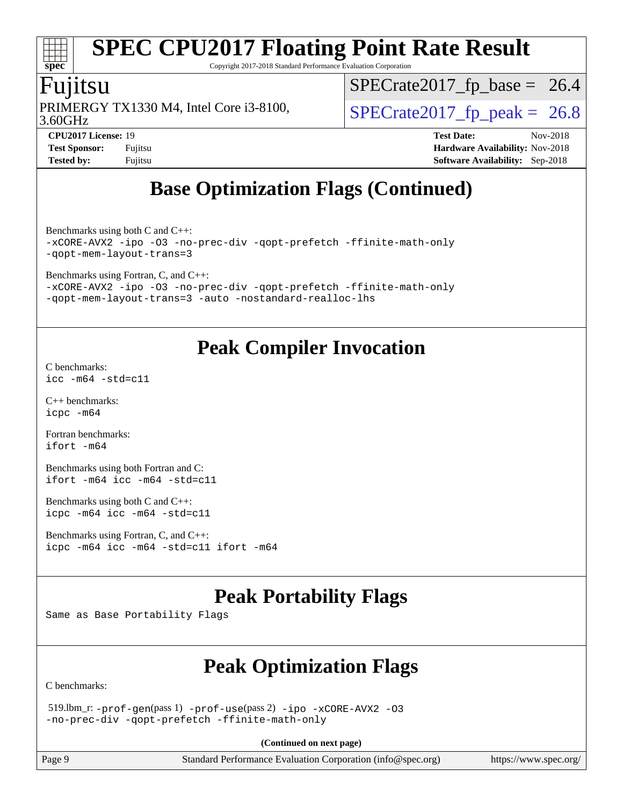# **[spec](http://www.spec.org/)**

# **[SPEC CPU2017 Floating Point Rate Result](http://www.spec.org/auto/cpu2017/Docs/result-fields.html#SPECCPU2017FloatingPointRateResult)**

Copyright 2017-2018 Standard Performance Evaluation Corporation

### Fujitsu

3.60GHz PRIMERGY TX1330 M4, Intel Core i3-8100,  $\vert$  [SPECrate2017\\_fp\\_peak =](http://www.spec.org/auto/cpu2017/Docs/result-fields.html#SPECrate2017fppeak) 26.8

 $SPECTate2017_fp\_base = 26.4$ 

**[Tested by:](http://www.spec.org/auto/cpu2017/Docs/result-fields.html#Testedby)** Fujitsu **[Software Availability:](http://www.spec.org/auto/cpu2017/Docs/result-fields.html#SoftwareAvailability)** Sep-2018

**[CPU2017 License:](http://www.spec.org/auto/cpu2017/Docs/result-fields.html#CPU2017License)** 19 **[Test Date:](http://www.spec.org/auto/cpu2017/Docs/result-fields.html#TestDate)** Nov-2018 **[Test Sponsor:](http://www.spec.org/auto/cpu2017/Docs/result-fields.html#TestSponsor)** Fujitsu **[Hardware Availability:](http://www.spec.org/auto/cpu2017/Docs/result-fields.html#HardwareAvailability)** Nov-2018

### **[Base Optimization Flags \(Continued\)](http://www.spec.org/auto/cpu2017/Docs/result-fields.html#BaseOptimizationFlags)**

[Benchmarks using both C and C++](http://www.spec.org/auto/cpu2017/Docs/result-fields.html#BenchmarksusingbothCandCXX): [-xCORE-AVX2](http://www.spec.org/cpu2017/results/res2018q4/cpu2017-20181113-09789.flags.html#user_CC_CXXbase_f-xCORE-AVX2) [-ipo](http://www.spec.org/cpu2017/results/res2018q4/cpu2017-20181113-09789.flags.html#user_CC_CXXbase_f-ipo) [-O3](http://www.spec.org/cpu2017/results/res2018q4/cpu2017-20181113-09789.flags.html#user_CC_CXXbase_f-O3) [-no-prec-div](http://www.spec.org/cpu2017/results/res2018q4/cpu2017-20181113-09789.flags.html#user_CC_CXXbase_f-no-prec-div) [-qopt-prefetch](http://www.spec.org/cpu2017/results/res2018q4/cpu2017-20181113-09789.flags.html#user_CC_CXXbase_f-qopt-prefetch) [-ffinite-math-only](http://www.spec.org/cpu2017/results/res2018q4/cpu2017-20181113-09789.flags.html#user_CC_CXXbase_f_finite_math_only_cb91587bd2077682c4b38af759c288ed7c732db004271a9512da14a4f8007909a5f1427ecbf1a0fb78ff2a814402c6114ac565ca162485bbcae155b5e4258871) [-qopt-mem-layout-trans=3](http://www.spec.org/cpu2017/results/res2018q4/cpu2017-20181113-09789.flags.html#user_CC_CXXbase_f-qopt-mem-layout-trans_de80db37974c74b1f0e20d883f0b675c88c3b01e9d123adea9b28688d64333345fb62bc4a798493513fdb68f60282f9a726aa07f478b2f7113531aecce732043)

[Benchmarks using Fortran, C, and C++:](http://www.spec.org/auto/cpu2017/Docs/result-fields.html#BenchmarksusingFortranCandCXX)

[-xCORE-AVX2](http://www.spec.org/cpu2017/results/res2018q4/cpu2017-20181113-09789.flags.html#user_CC_CXX_FCbase_f-xCORE-AVX2) [-ipo](http://www.spec.org/cpu2017/results/res2018q4/cpu2017-20181113-09789.flags.html#user_CC_CXX_FCbase_f-ipo) [-O3](http://www.spec.org/cpu2017/results/res2018q4/cpu2017-20181113-09789.flags.html#user_CC_CXX_FCbase_f-O3) [-no-prec-div](http://www.spec.org/cpu2017/results/res2018q4/cpu2017-20181113-09789.flags.html#user_CC_CXX_FCbase_f-no-prec-div) [-qopt-prefetch](http://www.spec.org/cpu2017/results/res2018q4/cpu2017-20181113-09789.flags.html#user_CC_CXX_FCbase_f-qopt-prefetch) [-ffinite-math-only](http://www.spec.org/cpu2017/results/res2018q4/cpu2017-20181113-09789.flags.html#user_CC_CXX_FCbase_f_finite_math_only_cb91587bd2077682c4b38af759c288ed7c732db004271a9512da14a4f8007909a5f1427ecbf1a0fb78ff2a814402c6114ac565ca162485bbcae155b5e4258871) [-qopt-mem-layout-trans=3](http://www.spec.org/cpu2017/results/res2018q4/cpu2017-20181113-09789.flags.html#user_CC_CXX_FCbase_f-qopt-mem-layout-trans_de80db37974c74b1f0e20d883f0b675c88c3b01e9d123adea9b28688d64333345fb62bc4a798493513fdb68f60282f9a726aa07f478b2f7113531aecce732043) [-auto](http://www.spec.org/cpu2017/results/res2018q4/cpu2017-20181113-09789.flags.html#user_CC_CXX_FCbase_f-auto) [-nostandard-realloc-lhs](http://www.spec.org/cpu2017/results/res2018q4/cpu2017-20181113-09789.flags.html#user_CC_CXX_FCbase_f_2003_std_realloc_82b4557e90729c0f113870c07e44d33d6f5a304b4f63d4c15d2d0f1fab99f5daaed73bdb9275d9ae411527f28b936061aa8b9c8f2d63842963b95c9dd6426b8a)

### **[Peak Compiler Invocation](http://www.spec.org/auto/cpu2017/Docs/result-fields.html#PeakCompilerInvocation)**

[C benchmarks](http://www.spec.org/auto/cpu2017/Docs/result-fields.html#Cbenchmarks): [icc -m64 -std=c11](http://www.spec.org/cpu2017/results/res2018q4/cpu2017-20181113-09789.flags.html#user_CCpeak_intel_icc_64bit_c11_33ee0cdaae7deeeab2a9725423ba97205ce30f63b9926c2519791662299b76a0318f32ddfffdc46587804de3178b4f9328c46fa7c2b0cd779d7a61945c91cd35)

[C++ benchmarks:](http://www.spec.org/auto/cpu2017/Docs/result-fields.html#CXXbenchmarks) [icpc -m64](http://www.spec.org/cpu2017/results/res2018q4/cpu2017-20181113-09789.flags.html#user_CXXpeak_intel_icpc_64bit_4ecb2543ae3f1412ef961e0650ca070fec7b7afdcd6ed48761b84423119d1bf6bdf5cad15b44d48e7256388bc77273b966e5eb805aefd121eb22e9299b2ec9d9)

[Fortran benchmarks](http://www.spec.org/auto/cpu2017/Docs/result-fields.html#Fortranbenchmarks): [ifort -m64](http://www.spec.org/cpu2017/results/res2018q4/cpu2017-20181113-09789.flags.html#user_FCpeak_intel_ifort_64bit_24f2bb282fbaeffd6157abe4f878425411749daecae9a33200eee2bee2fe76f3b89351d69a8130dd5949958ce389cf37ff59a95e7a40d588e8d3a57e0c3fd751)

[Benchmarks using both Fortran and C](http://www.spec.org/auto/cpu2017/Docs/result-fields.html#BenchmarksusingbothFortranandC): [ifort -m64](http://www.spec.org/cpu2017/results/res2018q4/cpu2017-20181113-09789.flags.html#user_CC_FCpeak_intel_ifort_64bit_24f2bb282fbaeffd6157abe4f878425411749daecae9a33200eee2bee2fe76f3b89351d69a8130dd5949958ce389cf37ff59a95e7a40d588e8d3a57e0c3fd751) [icc -m64 -std=c11](http://www.spec.org/cpu2017/results/res2018q4/cpu2017-20181113-09789.flags.html#user_CC_FCpeak_intel_icc_64bit_c11_33ee0cdaae7deeeab2a9725423ba97205ce30f63b9926c2519791662299b76a0318f32ddfffdc46587804de3178b4f9328c46fa7c2b0cd779d7a61945c91cd35)

[Benchmarks using both C and C++](http://www.spec.org/auto/cpu2017/Docs/result-fields.html#BenchmarksusingbothCandCXX): [icpc -m64](http://www.spec.org/cpu2017/results/res2018q4/cpu2017-20181113-09789.flags.html#user_CC_CXXpeak_intel_icpc_64bit_4ecb2543ae3f1412ef961e0650ca070fec7b7afdcd6ed48761b84423119d1bf6bdf5cad15b44d48e7256388bc77273b966e5eb805aefd121eb22e9299b2ec9d9) [icc -m64 -std=c11](http://www.spec.org/cpu2017/results/res2018q4/cpu2017-20181113-09789.flags.html#user_CC_CXXpeak_intel_icc_64bit_c11_33ee0cdaae7deeeab2a9725423ba97205ce30f63b9926c2519791662299b76a0318f32ddfffdc46587804de3178b4f9328c46fa7c2b0cd779d7a61945c91cd35)

[Benchmarks using Fortran, C, and C++:](http://www.spec.org/auto/cpu2017/Docs/result-fields.html#BenchmarksusingFortranCandCXX) [icpc -m64](http://www.spec.org/cpu2017/results/res2018q4/cpu2017-20181113-09789.flags.html#user_CC_CXX_FCpeak_intel_icpc_64bit_4ecb2543ae3f1412ef961e0650ca070fec7b7afdcd6ed48761b84423119d1bf6bdf5cad15b44d48e7256388bc77273b966e5eb805aefd121eb22e9299b2ec9d9) [icc -m64 -std=c11](http://www.spec.org/cpu2017/results/res2018q4/cpu2017-20181113-09789.flags.html#user_CC_CXX_FCpeak_intel_icc_64bit_c11_33ee0cdaae7deeeab2a9725423ba97205ce30f63b9926c2519791662299b76a0318f32ddfffdc46587804de3178b4f9328c46fa7c2b0cd779d7a61945c91cd35) [ifort -m64](http://www.spec.org/cpu2017/results/res2018q4/cpu2017-20181113-09789.flags.html#user_CC_CXX_FCpeak_intel_ifort_64bit_24f2bb282fbaeffd6157abe4f878425411749daecae9a33200eee2bee2fe76f3b89351d69a8130dd5949958ce389cf37ff59a95e7a40d588e8d3a57e0c3fd751)

### **[Peak Portability Flags](http://www.spec.org/auto/cpu2017/Docs/result-fields.html#PeakPortabilityFlags)**

Same as Base Portability Flags

### **[Peak Optimization Flags](http://www.spec.org/auto/cpu2017/Docs/result-fields.html#PeakOptimizationFlags)**

[C benchmarks](http://www.spec.org/auto/cpu2017/Docs/result-fields.html#Cbenchmarks):

 519.lbm\_r: [-prof-gen](http://www.spec.org/cpu2017/results/res2018q4/cpu2017-20181113-09789.flags.html#user_peakPASS1_CFLAGSPASS1_LDFLAGS519_lbm_r_prof_gen_5aa4926d6013ddb2a31985c654b3eb18169fc0c6952a63635c234f711e6e63dd76e94ad52365559451ec499a2cdb89e4dc58ba4c67ef54ca681ffbe1461d6b36)(pass 1) [-prof-use](http://www.spec.org/cpu2017/results/res2018q4/cpu2017-20181113-09789.flags.html#user_peakPASS2_CFLAGSPASS2_LDFLAGS519_lbm_r_prof_use_1a21ceae95f36a2b53c25747139a6c16ca95bd9def2a207b4f0849963b97e94f5260e30a0c64f4bb623698870e679ca08317ef8150905d41bd88c6f78df73f19)(pass 2) [-ipo](http://www.spec.org/cpu2017/results/res2018q4/cpu2017-20181113-09789.flags.html#user_peakPASS1_COPTIMIZEPASS2_COPTIMIZE519_lbm_r_f-ipo) [-xCORE-AVX2](http://www.spec.org/cpu2017/results/res2018q4/cpu2017-20181113-09789.flags.html#user_peakPASS2_COPTIMIZE519_lbm_r_f-xCORE-AVX2) [-O3](http://www.spec.org/cpu2017/results/res2018q4/cpu2017-20181113-09789.flags.html#user_peakPASS1_COPTIMIZEPASS2_COPTIMIZE519_lbm_r_f-O3) [-no-prec-div](http://www.spec.org/cpu2017/results/res2018q4/cpu2017-20181113-09789.flags.html#user_peakPASS1_COPTIMIZEPASS2_COPTIMIZE519_lbm_r_f-no-prec-div) [-qopt-prefetch](http://www.spec.org/cpu2017/results/res2018q4/cpu2017-20181113-09789.flags.html#user_peakPASS1_COPTIMIZEPASS2_COPTIMIZE519_lbm_r_f-qopt-prefetch) [-ffinite-math-only](http://www.spec.org/cpu2017/results/res2018q4/cpu2017-20181113-09789.flags.html#user_peakPASS1_COPTIMIZEPASS2_COPTIMIZE519_lbm_r_f_finite_math_only_cb91587bd2077682c4b38af759c288ed7c732db004271a9512da14a4f8007909a5f1427ecbf1a0fb78ff2a814402c6114ac565ca162485bbcae155b5e4258871)

**(Continued on next page)**

Page 9 Standard Performance Evaluation Corporation [\(info@spec.org\)](mailto:info@spec.org) <https://www.spec.org/>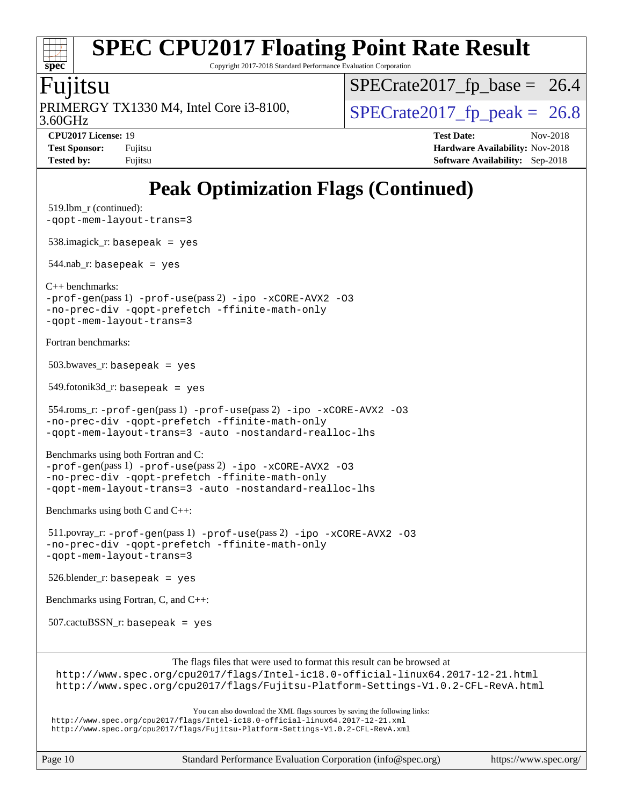# **[spec](http://www.spec.org/)**

# **[SPEC CPU2017 Floating Point Rate Result](http://www.spec.org/auto/cpu2017/Docs/result-fields.html#SPECCPU2017FloatingPointRateResult)**

Copyright 2017-2018 Standard Performance Evaluation Corporation

### Fujitsu

3.60GHz PRIMERGY TX1330 M4, Intel Core i3-8100,  $\vert$  [SPECrate2017\\_fp\\_peak =](http://www.spec.org/auto/cpu2017/Docs/result-fields.html#SPECrate2017fppeak) 26.8

 $SPECTate2017_fp\_base = 26.4$ 

**[CPU2017 License:](http://www.spec.org/auto/cpu2017/Docs/result-fields.html#CPU2017License)** 19 **[Test Date:](http://www.spec.org/auto/cpu2017/Docs/result-fields.html#TestDate)** Nov-2018 **[Test Sponsor:](http://www.spec.org/auto/cpu2017/Docs/result-fields.html#TestSponsor)** Fujitsu **Fundal** Fujitsu **[Hardware Availability:](http://www.spec.org/auto/cpu2017/Docs/result-fields.html#HardwareAvailability)** Nov-2018 **[Tested by:](http://www.spec.org/auto/cpu2017/Docs/result-fields.html#Testedby)** Fujitsu **[Software Availability:](http://www.spec.org/auto/cpu2017/Docs/result-fields.html#SoftwareAvailability)** Sep-2018

## **[Peak Optimization Flags \(Continued\)](http://www.spec.org/auto/cpu2017/Docs/result-fields.html#PeakOptimizationFlags)**

```
 519.lbm_r (continued):
-qopt-mem-layout-trans=3
 538.imagick_r: basepeak = yes
544.nab_r: basepeak = yes
C++ benchmarks: 
-prof-gen(pass 1) -prof-use(pass 2) -ipo -xCORE-AVX2 -O3
-no-prec-div -qopt-prefetch -ffinite-math-only
-qopt-mem-layout-trans=3
Fortran benchmarks: 
503.bwaves r: basepeak = yes
 549.fotonik3d_r: basepeak = yes
 554.roms_r: -prof-gen(pass 1) -prof-use(pass 2) -ipo -xCORE-AVX2 -O3
-no-prec-div -qopt-prefetch -ffinite-math-only
-qopt-mem-layout-trans=3 -auto -nostandard-realloc-lhs
Benchmarks using both Fortran and C: 
-prof-gen(pass 1) -prof-use(pass 2) -ipo -xCORE-AVX2 -O3
-no-prec-div -qopt-prefetch -ffinite-math-only
-qopt-mem-layout-trans=3 -auto -nostandard-realloc-lhs
Benchmarks using both C and C++: 
 511.povray_r: -prof-gen(pass 1) -prof-use(pass 2) -ipo -xCORE-AVX2 -O3
-no-prec-div -qopt-prefetch -ffinite-math-only
-qopt-mem-layout-trans=3
526.blender_r: basepeak = yes
Benchmarks using Fortran, C, and C++: 
 507.cactuBSSN_r: basepeak = yes
                        The flags files that were used to format this result can be browsed at
 http://www.spec.org/cpu2017/flags/Intel-ic18.0-official-linux64.2017-12-21.html
 http://www.spec.org/cpu2017/flags/Fujitsu-Platform-Settings-V1.0.2-CFL-RevA.html
                            You can also download the XML flags sources by saving the following links:
 http://www.spec.org/cpu2017/flags/Intel-ic18.0-official-linux64.2017-12-21.xml
 http://www.spec.org/cpu2017/flags/Fujitsu-Platform-Settings-V1.0.2-CFL-RevA.xml
```